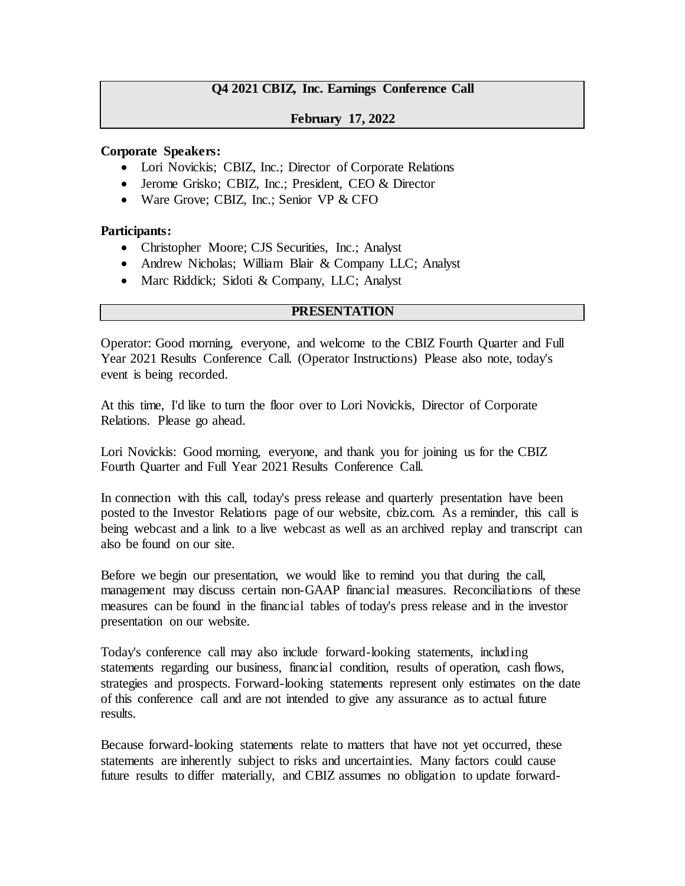# **Q4 2021 CBIZ, Inc. Earnings Conference Call**

## **February 17, 2022**

#### **Corporate Speakers:**

- Lori Novickis; CBIZ, Inc.; Director of Corporate Relations
- Jerome Grisko; CBIZ, Inc.; President, CEO & Director
- Ware Grove; CBIZ, Inc.; Senior VP & CFO

#### **Participants:**

- Christopher Moore; CJS Securities, Inc.; Analyst
- Andrew Nicholas; William Blair & Company LLC; Analyst
- Marc Riddick; Sidoti & Company, LLC; Analyst

## **PRESENTATION**

Operator: Good morning, everyone, and welcome to the CBIZ Fourth Quarter and Full Year 2021 Results Conference Call. (Operator Instructions) Please also note, today's event is being recorded.

At this time, I'd like to turn the floor over to Lori Novickis, Director of Corporate Relations. Please go ahead.

Lori Novickis: Good morning, everyone, and thank you for joining us for the CBIZ Fourth Quarter and Full Year 2021 Results Conference Call.

In connection with this call, today's press release and quarterly presentation have been posted to the Investor Relations page of our website, cbiz.com. As a reminder, this call is being webcast and a link to a live webcast as well as an archived replay and transcript can also be found on our site.

Before we begin our presentation, we would like to remind you that during the call, management may discuss certain non-GAAP financial measures. Reconciliations of these measures can be found in the financial tables of today's press release and in the investor presentation on our website.

Today's conference call may also include forward-looking statements, including statements regarding our business, financial condition, results of operation, cash flows, strategies and prospects. Forward-looking statements represent only estimates on the date of this conference call and are not intended to give any assurance as to actual future results.

Because forward-looking statements relate to matters that have not yet occurred, these statements are inherently subject to risks and uncertainties. Many factors could cause future results to differ materially, and CBIZ assumes no obligation to update forward-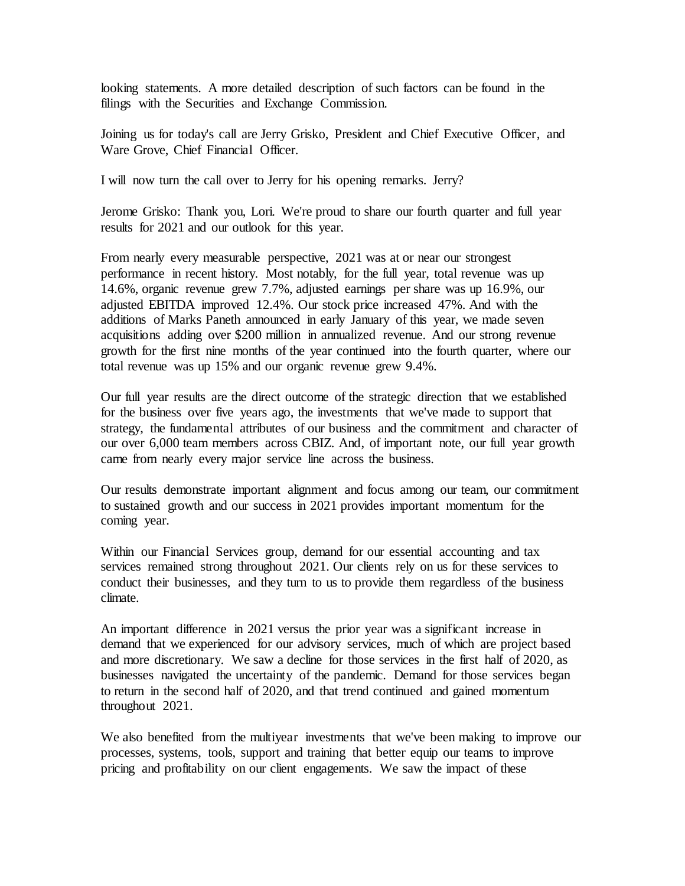looking statements. A more detailed description of such factors can be found in the filings with the Securities and Exchange Commission.

Joining us for today's call are Jerry Grisko, President and Chief Executive Officer, and Ware Grove, Chief Financial Officer.

I will now turn the call over to Jerry for his opening remarks. Jerry?

Jerome Grisko: Thank you, Lori. We're proud to share our fourth quarter and full year results for 2021 and our outlook for this year.

From nearly every measurable perspective, 2021 was at or near our strongest performance in recent history. Most notably, for the full year, total revenue was up 14.6%, organic revenue grew 7.7%, adjusted earnings per share was up 16.9%, our adjusted EBITDA improved 12.4%. Our stock price increased 47%. And with the additions of Marks Paneth announced in early January of this year, we made seven acquisitions adding over \$200 million in annualized revenue. And our strong revenue growth for the first nine months of the year continued into the fourth quarter, where our total revenue was up 15% and our organic revenue grew 9.4%.

Our full year results are the direct outcome of the strategic direction that we established for the business over five years ago, the investments that we've made to support that strategy, the fundamental attributes of our business and the commitment and character of our over 6,000 team members across CBIZ. And, of important note, our full year growth came from nearly every major service line across the business.

Our results demonstrate important alignment and focus among our team, our commitment to sustained growth and our success in 2021 provides important momentum for the coming year.

Within our Financial Services group, demand for our essential accounting and tax services remained strong throughout 2021. Our clients rely on us for these services to conduct their businesses, and they turn to us to provide them regardless of the business climate.

An important difference in 2021 versus the prior year was a significant increase in demand that we experienced for our advisory services, much of which are project based and more discretionary. We saw a decline for those services in the first half of 2020, as businesses navigated the uncertainty of the pandemic. Demand for those services began to return in the second half of 2020, and that trend continued and gained momentum throughout 2021.

We also benefited from the multiyear investments that we've been making to improve our processes, systems, tools, support and training that better equip our teams to improve pricing and profitability on our client engagements. We saw the impact of these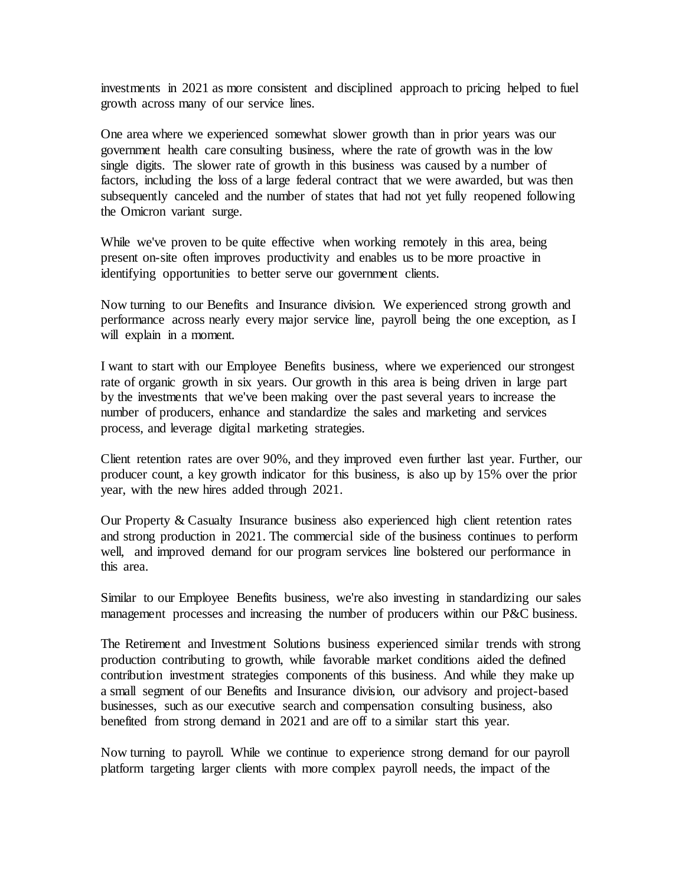investments in 2021 as more consistent and disciplined approach to pricing helped to fuel growth across many of our service lines.

One area where we experienced somewhat slower growth than in prior years was our government health care consulting business, where the rate of growth was in the low single digits. The slower rate of growth in this business was caused by a number of factors, including the loss of a large federal contract that we were awarded, but was then subsequently canceled and the number of states that had not yet fully reopened following the Omicron variant surge.

While we've proven to be quite effective when working remotely in this area, being present on-site often improves productivity and enables us to be more proactive in identifying opportunities to better serve our government clients.

Now turning to our Benefits and Insurance division. We experienced strong growth and performance across nearly every major service line, payroll being the one exception, as I will explain in a moment.

I want to start with our Employee Benefits business, where we experienced our strongest rate of organic growth in six years. Our growth in this area is being driven in large part by the investments that we've been making over the past several years to increase the number of producers, enhance and standardize the sales and marketing and services process, and leverage digital marketing strategies.

Client retention rates are over 90%, and they improved even further last year. Further, our producer count, a key growth indicator for this business, is also up by 15% over the prior year, with the new hires added through 2021.

Our Property & Casualty Insurance business also experienced high client retention rates and strong production in 2021. The commercial side of the business continues to perform well, and improved demand for our program services line bolstered our performance in this area.

Similar to our Employee Benefits business, we're also investing in standardizing our sales management processes and increasing the number of producers within our P&C business.

The Retirement and Investment Solutions business experienced similar trends with strong production contributing to growth, while favorable market conditions aided the defined contribution investment strategies components of this business. And while they make up a small segment of our Benefits and Insurance division, our advisory and project-based businesses, such as our executive search and compensation consulting business, also benefited from strong demand in 2021 and are off to a similar start this year.

Now turning to payroll. While we continue to experience strong demand for our payroll platform targeting larger clients with more complex payroll needs, the impact of the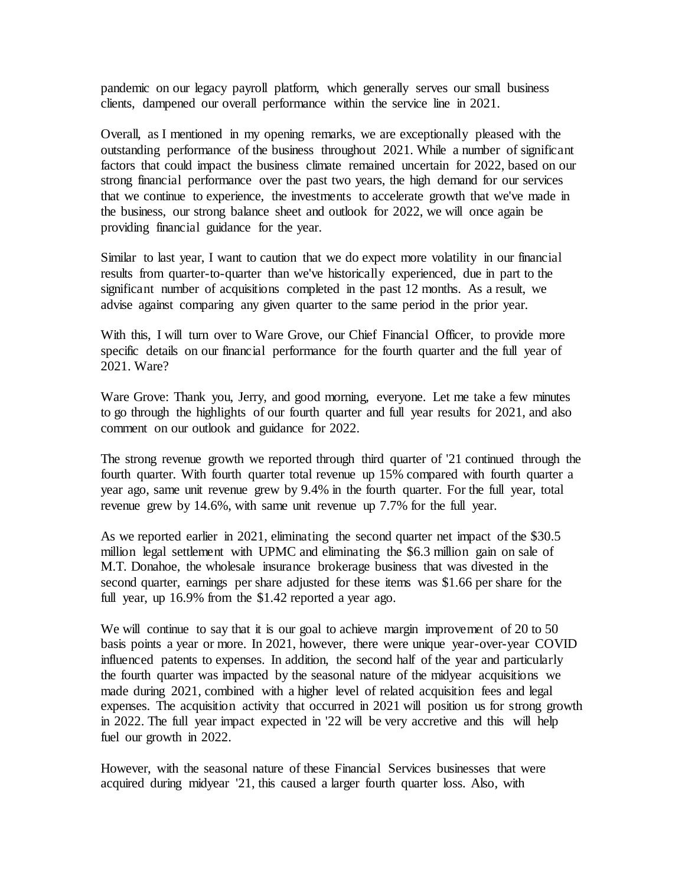pandemic on our legacy payroll platform, which generally serves our small business clients, dampened our overall performance within the service line in 2021.

Overall, as I mentioned in my opening remarks, we are exceptionally pleased with the outstanding performance of the business throughout 2021. While a number of significant factors that could impact the business climate remained uncertain for 2022, based on our strong financial performance over the past two years, the high demand for our services that we continue to experience, the investments to accelerate growth that we've made in the business, our strong balance sheet and outlook for 2022, we will once again be providing financial guidance for the year.

Similar to last year, I want to caution that we do expect more volatility in our financial results from quarter-to-quarter than we've historically experienced, due in part to the significant number of acquisitions completed in the past 12 months. As a result, we advise against comparing any given quarter to the same period in the prior year.

With this, I will turn over to Ware Grove, our Chief Financial Officer, to provide more specific details on our financial performance for the fourth quarter and the full year of 2021. Ware?

Ware Grove: Thank you, Jerry, and good morning, everyone. Let me take a few minutes to go through the highlights of our fourth quarter and full year results for 2021, and also comment on our outlook and guidance for 2022.

The strong revenue growth we reported through third quarter of '21 continued through the fourth quarter. With fourth quarter total revenue up 15% compared with fourth quarter a year ago, same unit revenue grew by 9.4% in the fourth quarter. For the full year, total revenue grew by 14.6%, with same unit revenue up 7.7% for the full year.

As we reported earlier in 2021, eliminating the second quarter net impact of the \$30.5 million legal settlement with UPMC and eliminating the \$6.3 million gain on sale of M.T. Donahoe, the wholesale insurance brokerage business that was divested in the second quarter, earnings per share adjusted for these items was \$1.66 per share for the full year, up 16.9% from the \$1.42 reported a year ago.

We will continue to say that it is our goal to achieve margin improvement of 20 to 50 basis points a year or more. In 2021, however, there were unique year-over-year COVID influenced patents to expenses. In addition, the second half of the year and particularly the fourth quarter was impacted by the seasonal nature of the midyear acquisitions we made during 2021, combined with a higher level of related acquisition fees and legal expenses. The acquisition activity that occurred in 2021 will position us for strong growth in 2022. The full year impact expected in '22 will be very accretive and this will help fuel our growth in 2022.

However, with the seasonal nature of these Financial Services businesses that were acquired during midyear '21, this caused a larger fourth quarter loss. Also, with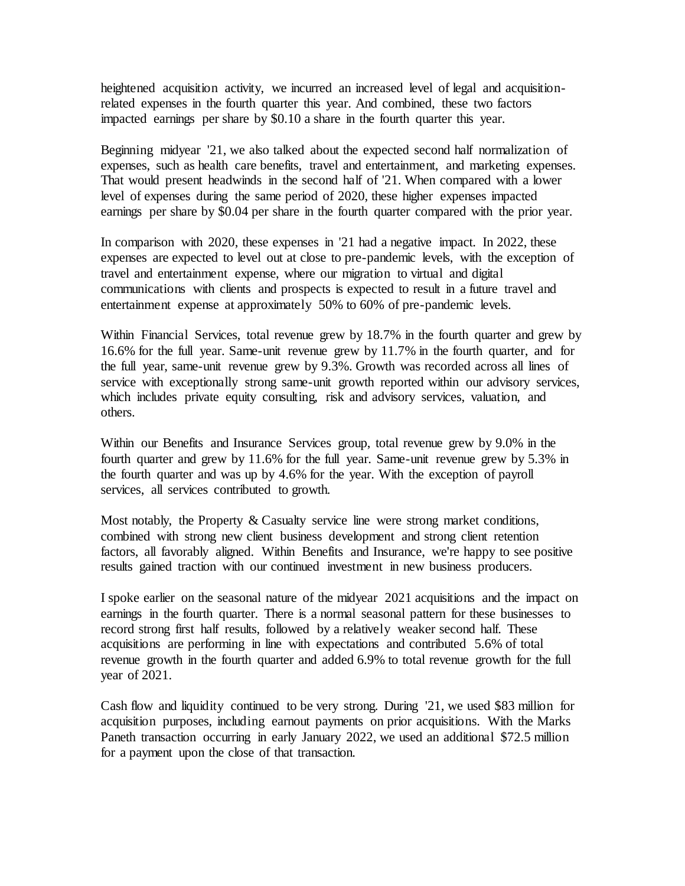heightened acquisition activity, we incurred an increased level of legal and acquisitionrelated expenses in the fourth quarter this year. And combined, these two factors impacted earnings per share by \$0.10 a share in the fourth quarter this year.

Beginning midyear '21, we also talked about the expected second half normalization of expenses, such as health care benefits, travel and entertainment, and marketing expenses. That would present headwinds in the second half of '21. When compared with a lower level of expenses during the same period of 2020, these higher expenses impacted earnings per share by \$0.04 per share in the fourth quarter compared with the prior year.

In comparison with 2020, these expenses in '21 had a negative impact. In 2022, these expenses are expected to level out at close to pre-pandemic levels, with the exception of travel and entertainment expense, where our migration to virtual and digital communications with clients and prospects is expected to result in a future travel and entertainment expense at approximately 50% to 60% of pre-pandemic levels.

Within Financial Services, total revenue grew by 18.7% in the fourth quarter and grew by 16.6% for the full year. Same-unit revenue grew by 11.7% in the fourth quarter, and for the full year, same-unit revenue grew by 9.3%. Growth was recorded across all lines of service with exceptionally strong same-unit growth reported within our advisory services, which includes private equity consulting, risk and advisory services, valuation, and others.

Within our Benefits and Insurance Services group, total revenue grew by 9.0% in the fourth quarter and grew by 11.6% for the full year. Same-unit revenue grew by 5.3% in the fourth quarter and was up by 4.6% for the year. With the exception of payroll services, all services contributed to growth.

Most notably, the Property & Casualty service line were strong market conditions, combined with strong new client business development and strong client retention factors, all favorably aligned. Within Benefits and Insurance, we're happy to see positive results gained traction with our continued investment in new business producers.

I spoke earlier on the seasonal nature of the midyear 2021 acquisitions and the impact on earnings in the fourth quarter. There is a normal seasonal pattern for these businesses to record strong first half results, followed by a relatively weaker second half. These acquisitions are performing in line with expectations and contributed 5.6% of total revenue growth in the fourth quarter and added 6.9% to total revenue growth for the full year of 2021.

Cash flow and liquidity continued to be very strong. During '21, we used \$83 million for acquisition purposes, including earnout payments on prior acquisitions. With the Marks Paneth transaction occurring in early January 2022, we used an additional \$72.5 million for a payment upon the close of that transaction.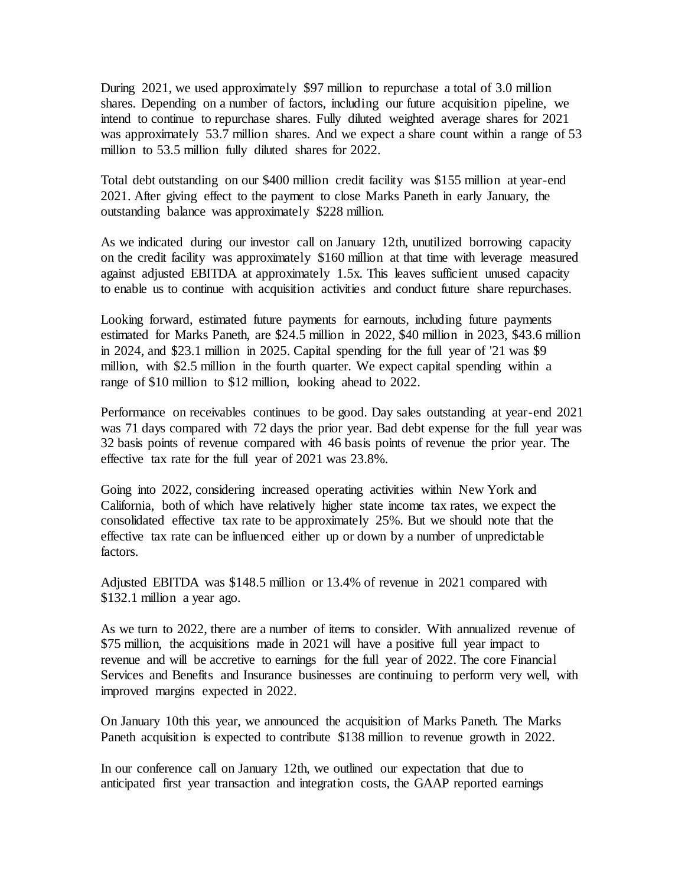During 2021, we used approximately \$97 million to repurchase a total of 3.0 million shares. Depending on a number of factors, including our future acquisition pipeline, we intend to continue to repurchase shares. Fully diluted weighted average shares for 2021 was approximately 53.7 million shares. And we expect a share count within a range of 53 million to 53.5 million fully diluted shares for 2022.

Total debt outstanding on our \$400 million credit facility was \$155 million at year-end 2021. After giving effect to the payment to close Marks Paneth in early January, the outstanding balance was approximately \$228 million.

As we indicated during our investor call on January 12th, unutilized borrowing capacity on the credit facility was approximately \$160 million at that time with leverage measured against adjusted EBITDA at approximately 1.5x. This leaves sufficient unused capacity to enable us to continue with acquisition activities and conduct future share repurchases.

Looking forward, estimated future payments for earnouts, including future payments estimated for Marks Paneth, are \$24.5 million in 2022, \$40 million in 2023, \$43.6 million in 2024, and \$23.1 million in 2025. Capital spending for the full year of '21 was \$9 million, with \$2.5 million in the fourth quarter. We expect capital spending within a range of \$10 million to \$12 million, looking ahead to 2022.

Performance on receivables continues to be good. Day sales outstanding at year-end 2021 was 71 days compared with 72 days the prior year. Bad debt expense for the full year was 32 basis points of revenue compared with 46 basis points of revenue the prior year. The effective tax rate for the full year of 2021 was 23.8%.

Going into 2022, considering increased operating activities within New York and California, both of which have relatively higher state income tax rates, we expect the consolidated effective tax rate to be approximately 25%. But we should note that the effective tax rate can be influenced either up or down by a number of unpredictable factors.

Adjusted EBITDA was \$148.5 million or 13.4% of revenue in 2021 compared with \$132.1 million a year ago.

As we turn to 2022, there are a number of items to consider. With annualized revenue of \$75 million, the acquisitions made in 2021 will have a positive full year impact to revenue and will be accretive to earnings for the full year of 2022. The core Financial Services and Benefits and Insurance businesses are continuing to perform very well, with improved margins expected in 2022.

On January 10th this year, we announced the acquisition of Marks Paneth. The Marks Paneth acquisition is expected to contribute \$138 million to revenue growth in 2022.

In our conference call on January 12th, we outlined our expectation that due to anticipated first year transaction and integration costs, the GAAP reported earnings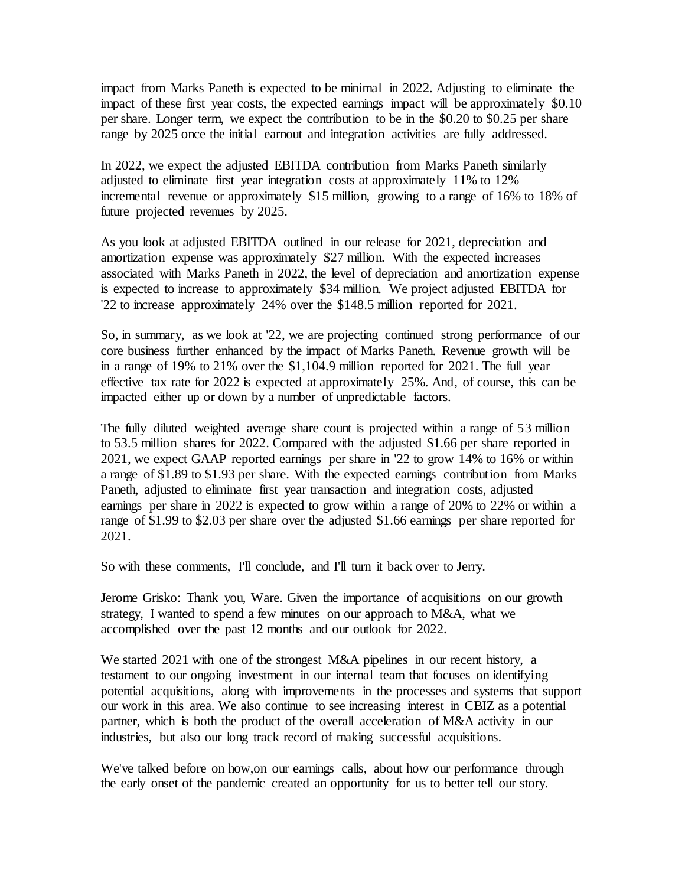impact from Marks Paneth is expected to be minimal in 2022. Adjusting to eliminate the impact of these first year costs, the expected earnings impact will be approximately \$0.10 per share. Longer term, we expect the contribution to be in the \$0.20 to \$0.25 per share range by 2025 once the initial earnout and integration activities are fully addressed.

In 2022, we expect the adjusted EBITDA contribution from Marks Paneth similarly adjusted to eliminate first year integration costs at approximately 11% to 12% incremental revenue or approximately \$15 million, growing to a range of 16% to 18% of future projected revenues by 2025.

As you look at adjusted EBITDA outlined in our release for 2021, depreciation and amortization expense was approximately \$27 million. With the expected increases associated with Marks Paneth in 2022, the level of depreciation and amortization expense is expected to increase to approximately \$34 million. We project adjusted EBITDA for '22 to increase approximately 24% over the \$148.5 million reported for 2021.

So, in summary, as we look at '22, we are projecting continued strong performance of our core business further enhanced by the impact of Marks Paneth. Revenue growth will be in a range of 19% to 21% over the \$1,104.9 million reported for 2021. The full year effective tax rate for 2022 is expected at approximately 25%. And, of course, this can be impacted either up or down by a number of unpredictable factors.

The fully diluted weighted average share count is projected within a range of 53 million to 53.5 million shares for 2022. Compared with the adjusted \$1.66 per share reported in 2021, we expect GAAP reported earnings per share in '22 to grow 14% to 16% or within a range of \$1.89 to \$1.93 per share. With the expected earnings contribution from Marks Paneth, adjusted to eliminate first year transaction and integration costs, adjusted earnings per share in 2022 is expected to grow within a range of 20% to 22% or within a range of \$1.99 to \$2.03 per share over the adjusted \$1.66 earnings per share reported for 2021.

So with these comments, I'll conclude, and I'll turn it back over to Jerry.

Jerome Grisko: Thank you, Ware. Given the importance of acquisitions on our growth strategy, I wanted to spend a few minutes on our approach to M&A, what we accomplished over the past 12 months and our outlook for 2022.

We started 2021 with one of the strongest M&A pipelines in our recent history, a testament to our ongoing investment in our internal team that focuses on identifying potential acquisitions, along with improvements in the processes and systems that support our work in this area. We also continue to see increasing interest in CBIZ as a potential partner, which is both the product of the overall acceleration of M&A activity in our industries, but also our long track record of making successful acquisitions.

We've talked before on how,on our earnings calls, about how our performance through the early onset of the pandemic created an opportunity for us to better tell our story.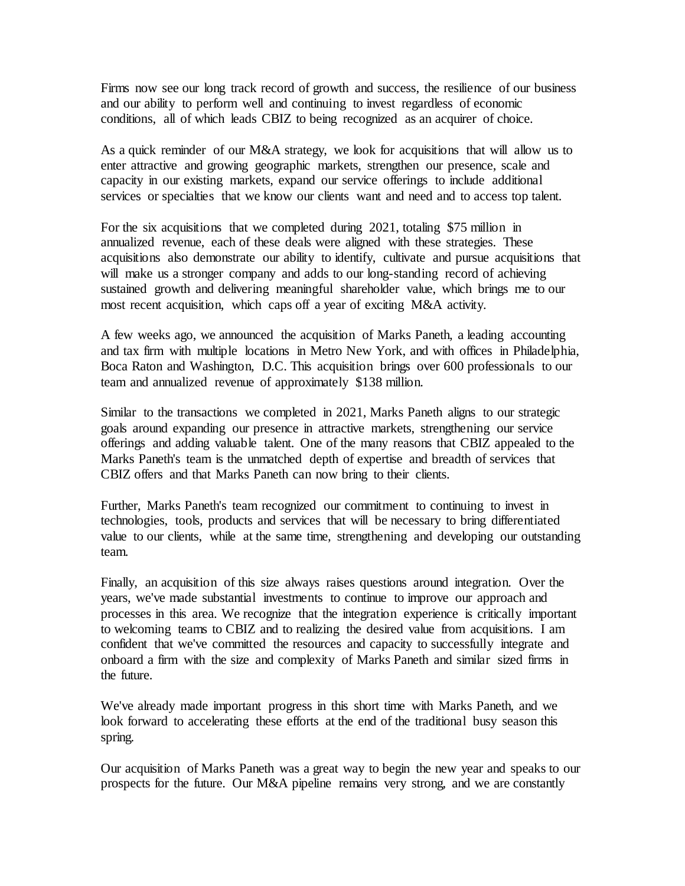Firms now see our long track record of growth and success, the resilience of our business and our ability to perform well and continuing to invest regardless of economic conditions, all of which leads CBIZ to being recognized as an acquirer of choice.

As a quick reminder of our M&A strategy, we look for acquisitions that will allow us to enter attractive and growing geographic markets, strengthen our presence, scale and capacity in our existing markets, expand our service offerings to include additional services or specialties that we know our clients want and need and to access top talent.

For the six acquisitions that we completed during 2021, totaling \$75 million in annualized revenue, each of these deals were aligned with these strategies. These acquisitions also demonstrate our ability to identify, cultivate and pursue acquisitions that will make us a stronger company and adds to our long-standing record of achieving sustained growth and delivering meaningful shareholder value, which brings me to our most recent acquisition, which caps off a year of exciting M&A activity.

A few weeks ago, we announced the acquisition of Marks Paneth, a leading accounting and tax firm with multiple locations in Metro New York, and with offices in Philadelphia, Boca Raton and Washington, D.C. This acquisition brings over 600 professionals to our team and annualized revenue of approximately \$138 million.

Similar to the transactions we completed in 2021, Marks Paneth aligns to our strategic goals around expanding our presence in attractive markets, strengthening our service offerings and adding valuable talent. One of the many reasons that CBIZ appealed to the Marks Paneth's team is the unmatched depth of expertise and breadth of services that CBIZ offers and that Marks Paneth can now bring to their clients.

Further, Marks Paneth's team recognized our commitment to continuing to invest in technologies, tools, products and services that will be necessary to bring differentiated value to our clients, while at the same time, strengthening and developing our outstanding team.

Finally, an acquisition of this size always raises questions around integration. Over the years, we've made substantial investments to continue to improve our approach and processes in this area. We recognize that the integration experience is critically important to welcoming teams to CBIZ and to realizing the desired value from acquisitions. I am confident that we've committed the resources and capacity to successfully integrate and onboard a firm with the size and complexity of Marks Paneth and similar sized firms in the future.

We've already made important progress in this short time with Marks Paneth, and we look forward to accelerating these efforts at the end of the traditional busy season this spring.

Our acquisition of Marks Paneth was a great way to begin the new year and speaks to our prospects for the future. Our M&A pipeline remains very strong, and we are constantly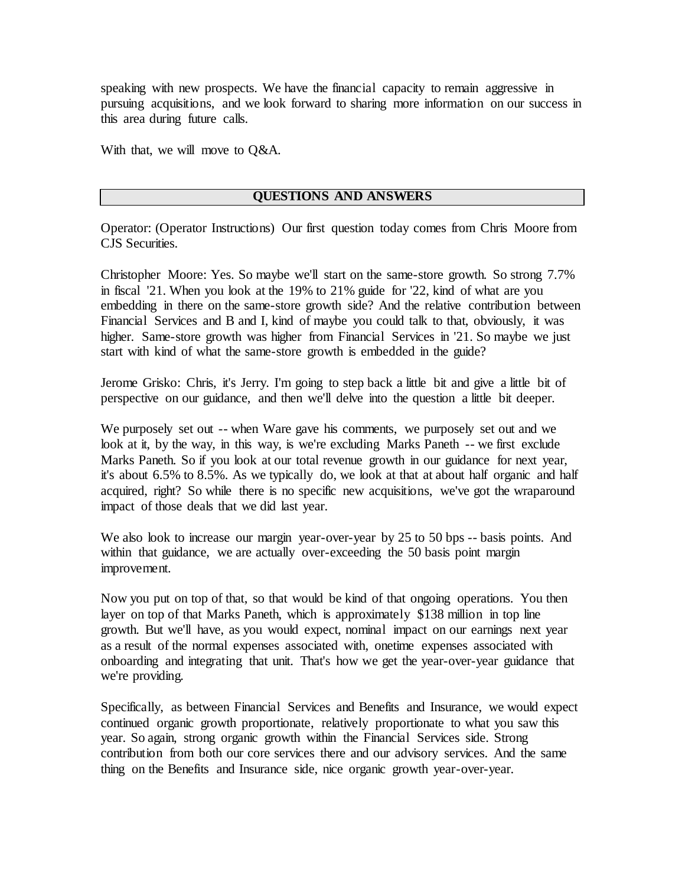speaking with new prospects. We have the financial capacity to remain aggressive in pursuing acquisitions, and we look forward to sharing more information on our success in this area during future calls.

With that, we will move to Q&A.

## **QUESTIONS AND ANSWERS**

Operator: (Operator Instructions) Our first question today comes from Chris Moore from CJS Securities.

Christopher Moore: Yes. So maybe we'll start on the same-store growth. So strong 7.7% in fiscal '21. When you look at the 19% to 21% guide for '22, kind of what are you embedding in there on the same-store growth side? And the relative contribution between Financial Services and B and I, kind of maybe you could talk to that, obviously, it was higher. Same-store growth was higher from Financial Services in '21. So maybe we just start with kind of what the same-store growth is embedded in the guide?

Jerome Grisko: Chris, it's Jerry. I'm going to step back a little bit and give a little bit of perspective on our guidance, and then we'll delve into the question a little bit deeper.

We purposely set out -- when Ware gave his comments, we purposely set out and we look at it, by the way, in this way, is we're excluding Marks Paneth -- we first exclude Marks Paneth. So if you look at our total revenue growth in our guidance for next year, it's about 6.5% to 8.5%. As we typically do, we look at that at about half organic and half acquired, right? So while there is no specific new acquisitions, we've got the wraparound impact of those deals that we did last year.

We also look to increase our margin year-over-year by 25 to 50 bps -- basis points. And within that guidance, we are actually over-exceeding the 50 basis point margin improvement.

Now you put on top of that, so that would be kind of that ongoing operations. You then layer on top of that Marks Paneth, which is approximately \$138 million in top line growth. But we'll have, as you would expect, nominal impact on our earnings next year as a result of the normal expenses associated with, onetime expenses associated with onboarding and integrating that unit. That's how we get the year-over-year guidance that we're providing.

Specifically, as between Financial Services and Benefits and Insurance, we would expect continued organic growth proportionate, relatively proportionate to what you saw this year. So again, strong organic growth within the Financial Services side. Strong contribution from both our core services there and our advisory services. And the same thing on the Benefits and Insurance side, nice organic growth year-over-year.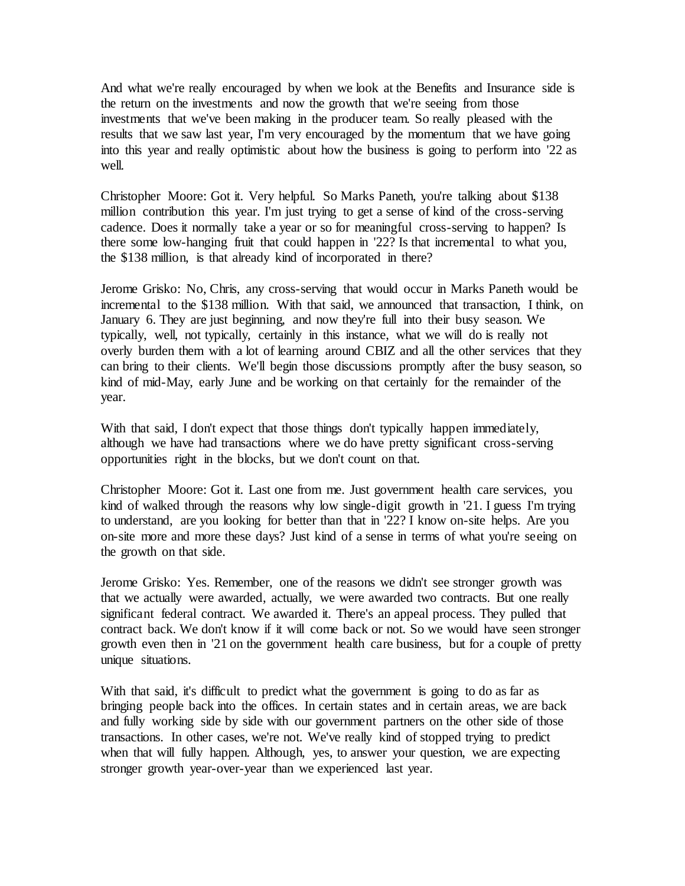And what we're really encouraged by when we look at the Benefits and Insurance side is the return on the investments and now the growth that we're seeing from those investments that we've been making in the producer team. So really pleased with the results that we saw last year, I'm very encouraged by the momentum that we have going into this year and really optimistic about how the business is going to perform into '22 as well.

Christopher Moore: Got it. Very helpful. So Marks Paneth, you're talking about \$138 million contribution this year. I'm just trying to get a sense of kind of the cross-serving cadence. Does it normally take a year or so for meaningful cross-serving to happen? Is there some low-hanging fruit that could happen in '22? Is that incremental to what you, the \$138 million, is that already kind of incorporated in there?

Jerome Grisko: No, Chris, any cross-serving that would occur in Marks Paneth would be incremental to the \$138 million. With that said, we announced that transaction, I think, on January 6. They are just beginning, and now they're full into their busy season. We typically, well, not typically, certainly in this instance, what we will do is really not overly burden them with a lot of learning around CBIZ and all the other services that they can bring to their clients. We'll begin those discussions promptly after the busy season, so kind of mid-May, early June and be working on that certainly for the remainder of the year.

With that said, I don't expect that those things don't typically happen immediately, although we have had transactions where we do have pretty significant cross-serving opportunities right in the blocks, but we don't count on that.

Christopher Moore: Got it. Last one from me. Just government health care services, you kind of walked through the reasons why low single-digit growth in '21. I guess I'm trying to understand, are you looking for better than that in '22? I know on-site helps. Are you on-site more and more these days? Just kind of a sense in terms of what you're seeing on the growth on that side.

Jerome Grisko: Yes. Remember, one of the reasons we didn't see stronger growth was that we actually were awarded, actually, we were awarded two contracts. But one really significant federal contract. We awarded it. There's an appeal process. They pulled that contract back. We don't know if it will come back or not. So we would have seen stronger growth even then in '21 on the government health care business, but for a couple of pretty unique situations.

With that said, it's difficult to predict what the government is going to do as far as bringing people back into the offices. In certain states and in certain areas, we are back and fully working side by side with our government partners on the other side of those transactions. In other cases, we're not. We've really kind of stopped trying to predict when that will fully happen. Although, yes, to answer your question, we are expecting stronger growth year-over-year than we experienced last year.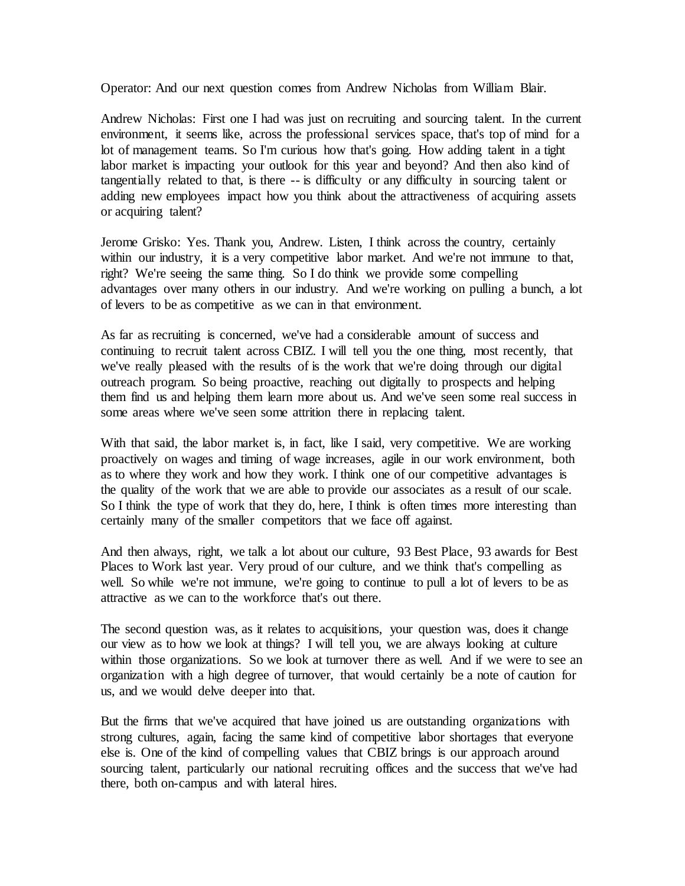Operator: And our next question comes from Andrew Nicholas from William Blair.

Andrew Nicholas: First one I had was just on recruiting and sourcing talent. In the current environment, it seems like, across the professional services space, that's top of mind for a lot of management teams. So I'm curious how that's going. How adding talent in a tight labor market is impacting your outlook for this year and beyond? And then also kind of tangentially related to that, is there -- is difficulty or any difficulty in sourcing talent or adding new employees impact how you think about the attractiveness of acquiring assets or acquiring talent?

Jerome Grisko: Yes. Thank you, Andrew. Listen, I think across the country, certainly within our industry, it is a very competitive labor market. And we're not immune to that, right? We're seeing the same thing. So I do think we provide some compelling advantages over many others in our industry. And we're working on pulling a bunch, a lot of levers to be as competitive as we can in that environment.

As far as recruiting is concerned, we've had a considerable amount of success and continuing to recruit talent across CBIZ. I will tell you the one thing, most recently, that we've really pleased with the results of is the work that we're doing through our digital outreach program. So being proactive, reaching out digitally to prospects and helping them find us and helping them learn more about us. And we've seen some real success in some areas where we've seen some attrition there in replacing talent.

With that said, the labor market is, in fact, like I said, very competitive. We are working proactively on wages and timing of wage increases, agile in our work environment, both as to where they work and how they work. I think one of our competitive advantages is the quality of the work that we are able to provide our associates as a result of our scale. So I think the type of work that they do, here, I think is often times more interesting than certainly many of the smaller competitors that we face off against.

And then always, right, we talk a lot about our culture, 93 Best Place, 93 awards for Best Places to Work last year. Very proud of our culture, and we think that's compelling as well. So while we're not immune, we're going to continue to pull a lot of levers to be as attractive as we can to the workforce that's out there.

The second question was, as it relates to acquisitions, your question was, does it change our view as to how we look at things? I will tell you, we are always looking at culture within those organizations. So we look at turnover there as well. And if we were to see an organization with a high degree of turnover, that would certainly be a note of caution for us, and we would delve deeper into that.

But the firms that we've acquired that have joined us are outstanding organizations with strong cultures, again, facing the same kind of competitive labor shortages that everyone else is. One of the kind of compelling values that CBIZ brings is our approach around sourcing talent, particularly our national recruiting offices and the success that we've had there, both on-campus and with lateral hires.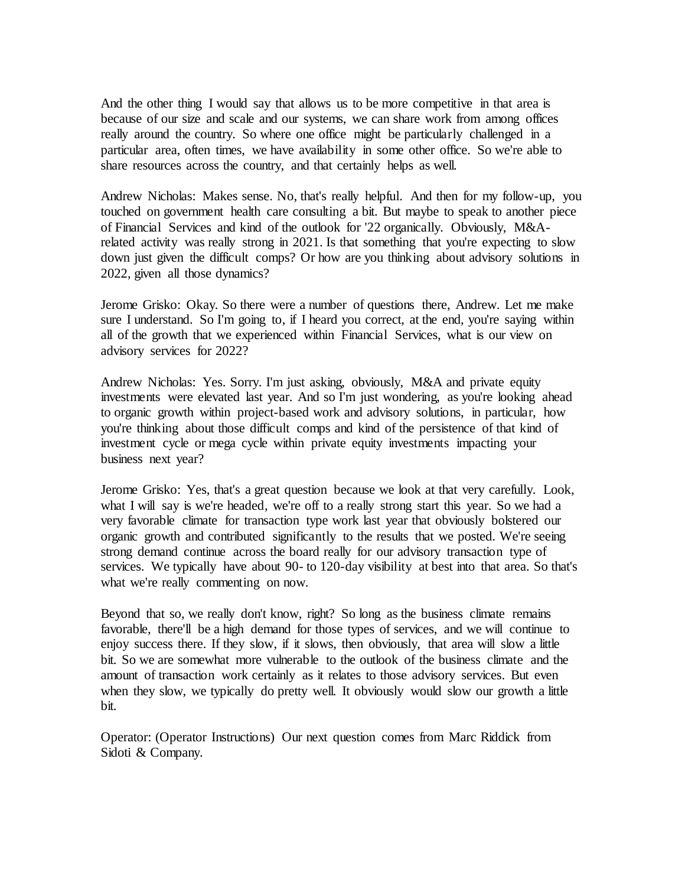And the other thing I would say that allows us to be more competitive in that area is because of our size and scale and our systems, we can share work from among offices really around the country. So where one office might be particularly challenged in a particular area, often times, we have availability in some other office. So we're able to share resources across the country, and that certainly helps as well.

Andrew Nicholas: Makes sense. No, that's really helpful. And then for my follow-up, you touched on government health care consulting a bit. But maybe to speak to another piece of Financial Services and kind of the outlook for '22 organically. Obviously, M&Arelated activity was really strong in 2021. Is that something that you're expecting to slow down just given the difficult comps? Or how are you thinking about advisory solutions in 2022, given all those dynamics?

Jerome Grisko: Okay. So there were a number of questions there, Andrew. Let me make sure I understand. So I'm going to, if I heard you correct, at the end, you're saying within all of the growth that we experienced within Financial Services, what is our view on advisory services for 2022?

Andrew Nicholas: Yes. Sorry. I'm just asking, obviously, M&A and private equity investments were elevated last year. And so I'm just wondering, as you're looking ahead to organic growth within project-based work and advisory solutions, in particular, how you're thinking about those difficult comps and kind of the persistence of that kind of investment cycle or mega cycle within private equity investments impacting your business next year?

Jerome Grisko: Yes, that's a great question because we look at that very carefully. Look, what I will say is we're headed, we're off to a really strong start this year. So we had a very favorable climate for transaction type work last year that obviously bolstered our organic growth and contributed significantly to the results that we posted. We're seeing strong demand continue across the board really for our advisory transaction type of services. We typically have about 90- to 120-day visibility at best into that area. So that's what we're really commenting on now.

Beyond that so, we really don't know, right? So long as the business climate remains favorable, there'll be a high demand for those types of services, and we will continue to enjoy success there. If they slow, if it slows, then obviously, that area will slow a little bit. So we are somewhat more vulnerable to the outlook of the business climate and the amount of transaction work certainly as it relates to those advisory services. But even when they slow, we typically do pretty well. It obviously would slow our growth a little bit.

Operator: (Operator Instructions) Our next question comes from Marc Riddick from Sidoti & Company.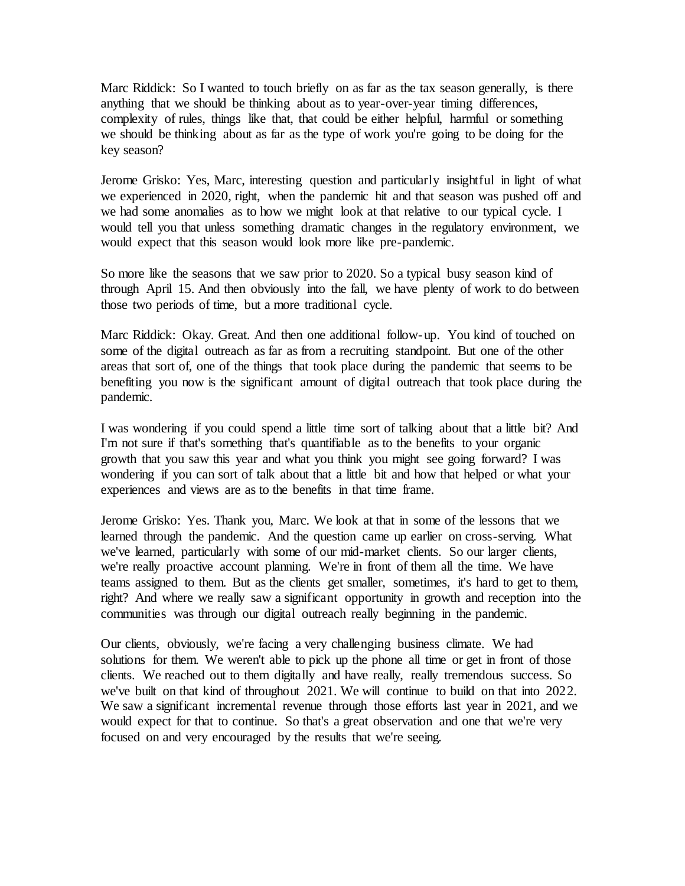Marc Riddick: So I wanted to touch briefly on as far as the tax season generally, is there anything that we should be thinking about as to year-over-year timing differences, complexity of rules, things like that, that could be either helpful, harmful or something we should be thinking about as far as the type of work you're going to be doing for the key season?

Jerome Grisko: Yes, Marc, interesting question and particularly insightful in light of what we experienced in 2020, right, when the pandemic hit and that season was pushed off and we had some anomalies as to how we might look at that relative to our typical cycle. I would tell you that unless something dramatic changes in the regulatory environment, we would expect that this season would look more like pre-pandemic.

So more like the seasons that we saw prior to 2020. So a typical busy season kind of through April 15. And then obviously into the fall, we have plenty of work to do between those two periods of time, but a more traditional cycle.

Marc Riddick: Okay. Great. And then one additional follow-up. You kind of touched on some of the digital outreach as far as from a recruiting standpoint. But one of the other areas that sort of, one of the things that took place during the pandemic that seems to be benefiting you now is the significant amount of digital outreach that took place during the pandemic.

I was wondering if you could spend a little time sort of talking about that a little bit? And I'm not sure if that's something that's quantifiable as to the benefits to your organic growth that you saw this year and what you think you might see going forward? I was wondering if you can sort of talk about that a little bit and how that helped or what your experiences and views are as to the benefits in that time frame.

Jerome Grisko: Yes. Thank you, Marc. We look at that in some of the lessons that we learned through the pandemic. And the question came up earlier on cross-serving. What we've learned, particularly with some of our mid-market clients. So our larger clients, we're really proactive account planning. We're in front of them all the time. We have teams assigned to them. But as the clients get smaller, sometimes, it's hard to get to them, right? And where we really saw a significant opportunity in growth and reception into the communities was through our digital outreach really beginning in the pandemic.

Our clients, obviously, we're facing a very challenging business climate. We had solutions for them. We weren't able to pick up the phone all time or get in front of those clients. We reached out to them digitally and have really, really tremendous success. So we've built on that kind of throughout 2021. We will continue to build on that into 2022. We saw a significant incremental revenue through those efforts last year in 2021, and we would expect for that to continue. So that's a great observation and one that we're very focused on and very encouraged by the results that we're seeing.